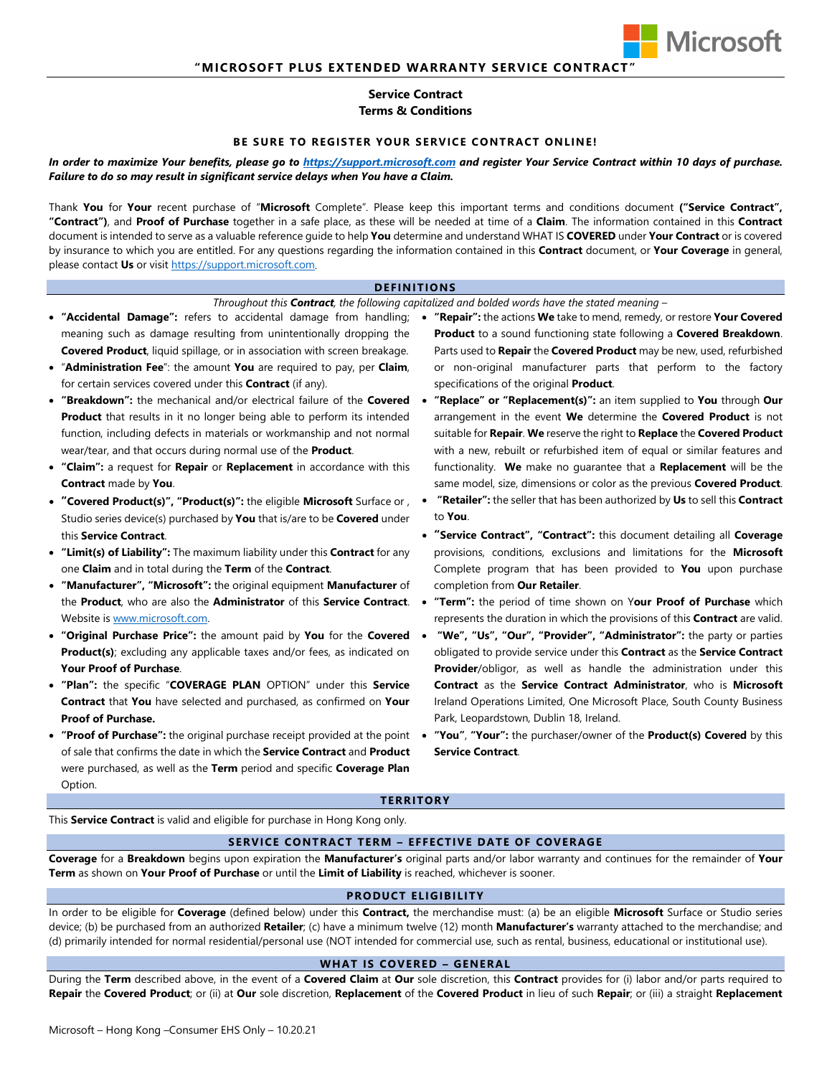

# **Service Contract Terms & Conditions**

### **BE SURE TO REGISTER YOUR SERVICE CONTRACT ONLINE!**

## *In order to maximize Your benefits, please go to [https://support.microsoft.com](https://support.microsoft.com/) and register Your Service Contract within 10 days of purchase. Failure to do so may result in significant service delays when You have a Claim.*

Thank **You** for **Your** recent purchase of "**Microsoft** Complete". Please keep this important terms and conditions document **("Service Contract", "Contract")**, and **Proof of Purchase** together in a safe place, as these will be needed at time of a **Claim**. The information contained in this **Contract** document is intended to serve as a valuable reference guide to help **You** determine and understand WHAT IS **COVERED** under **Your Contract** or is covered by insurance to which you are entitled. For any questions regarding the information contained in this **Contract** document, or **Your Coverage** in general, please contact **Us** or visit [https://support.microsoft.com.](https://support.microsoft.com/)

#### **DEFINITIONS**

#### *Throughout this Contract, the following capitalized and bolded words have the stated meaning –*

- meaning such as damage resulting from unintentionally dropping the **Covered Product**, liquid spillage, or in association with screen breakage.
- "**Administration Fee**": the amount **You** are required to pay, per **Claim**, for certain services covered under this **Contract** (if any).
- **"Breakdown":** the mechanical and/or electrical failure of the **Covered Product** that results in it no longer being able to perform its intended function, including defects in materials or workmanship and not normal wear/tear, and that occurs during normal use of the **Product**.
- **"Claim":** a request for **Repair** or **Replacement** in accordance with this **Contract** made by **You**.
- **"Covered Product(s)", "Product(s)":** the eligible **Microsoft** Surface or , Studio series device(s) purchased by **You** that is/are to be **Covered** under this **Service Contract**.
- **"Limit(s) of Liability":** The maximum liability under this **Contract** for any one **Claim** and in total during the **Term** of the **Contract**.
- **"Manufacturer", "Microsoft":** the original equipment **Manufacturer** of the **Product**, who are also the **Administrator** of this **Service Contract**. Website i[s www.microsoft.com.](http://www.microsoft.com/)
- **"Original Purchase Price":** the amount paid by **You** for the **Covered Product(s)**; excluding any applicable taxes and/or fees, as indicated on **Your Proof of Purchase**.
- **"Plan":** the specific "**COVERAGE PLAN** OPTION" under this **Service Contract** that **You** have selected and purchased, as confirmed on **Your Proof of Purchase.**
- **"Proof of Purchase":** the original purchase receipt provided at the point of sale that confirms the date in which the **Service Contract** and **Product** were purchased, as well as the **Term** period and specific **Coverage Plan** Option.
- **"Accidental Damage":** refers to accidental damage from handling; **"Repair":** the actions **We** take to mend, remedy, or restore **Your Covered Product** to a sound functioning state following a **Covered Breakdown**. Parts used to **Repair** the **Covered Product** may be new, used, refurbished or non-original manufacturer parts that perform to the factory specifications of the original **Product**.
	- **"Replace" or "Replacement(s)":** an item supplied to **You** through **Our** arrangement in the event **We** determine the **Covered Product** is not suitable for **Repair**. **We** reserve the right to **Replace** the **Covered Product** with a new, rebuilt or refurbished item of equal or similar features and functionality. **We** make no guarantee that a **Replacement** will be the same model, size, dimensions or color as the previous **Covered Product**.
	- **"Retailer":** the seller that has been authorized by **Us** to sell this **Contract** to **You**.
	- **"Service Contract", "Contract":** this document detailing all **Coverage** provisions, conditions, exclusions and limitations for the **Microsoft** Complete program that has been provided to **You** upon purchase completion from **Our Retailer**.
	- **"Term":** the period of time shown on Y**our Proof of Purchase** which represents the duration in which the provisions of this **Contract** are valid.
	- **"We", "Us", "Our", "Provider", "Administrator":** the party or parties obligated to provide service under this **Contract** as the **Service Contract Provider**/obligor, as well as handle the administration under this **Contract** as the **Service Contract Administrator**, who is **Microsoft** Ireland Operations Limited, One Microsoft Place, South County Business Park, Leopardstown, Dublin 18, Ireland.
	- **"You"**, **"Your":** the purchaser/owner of the **Product(s) Covered** by this **Service Contract**.

#### **TERRITORY**

This **Service Contract** is valid and eligible for purchase in Hong Kong only.

## **SERVICE CONTRACT TERM – EFFECTIVE DATE OF COVERAGE**

**Coverage** for a **Breakdown** begins upon expiration the **Manufacturer's** original parts and/or labor warranty and continues for the remainder of **Your Term** as shown on **Your Proof of Purchase** or until the **Limit of Liability** is reached, whichever is sooner.

#### **PRODUCT ELIGIBILITY**

In order to be eligible for **Coverage** (defined below) under this **Contract,** the merchandise must: (a) be an eligible **Microsoft** Surface or Studio series device; (b) be purchased from an authorized **Retailer**; (c) have a minimum twelve (12) month **Manufacturer's** warranty attached to the merchandise; and (d) primarily intended for normal residential/personal use (NOT intended for commercial use, such as rental, business, educational or institutional use).

#### **WHAT IS COVERED – GENERAL**

During the **Term** described above, in the event of a **Covered Claim** at **Our** sole discretion, this **Contract** provides for (i) labor and/or parts required to **Repair** the **Covered Product**; or (ii) at **Our** sole discretion, **Replacement** of the **Covered Product** in lieu of such **Repair**; or (iii) a straight **Replacement**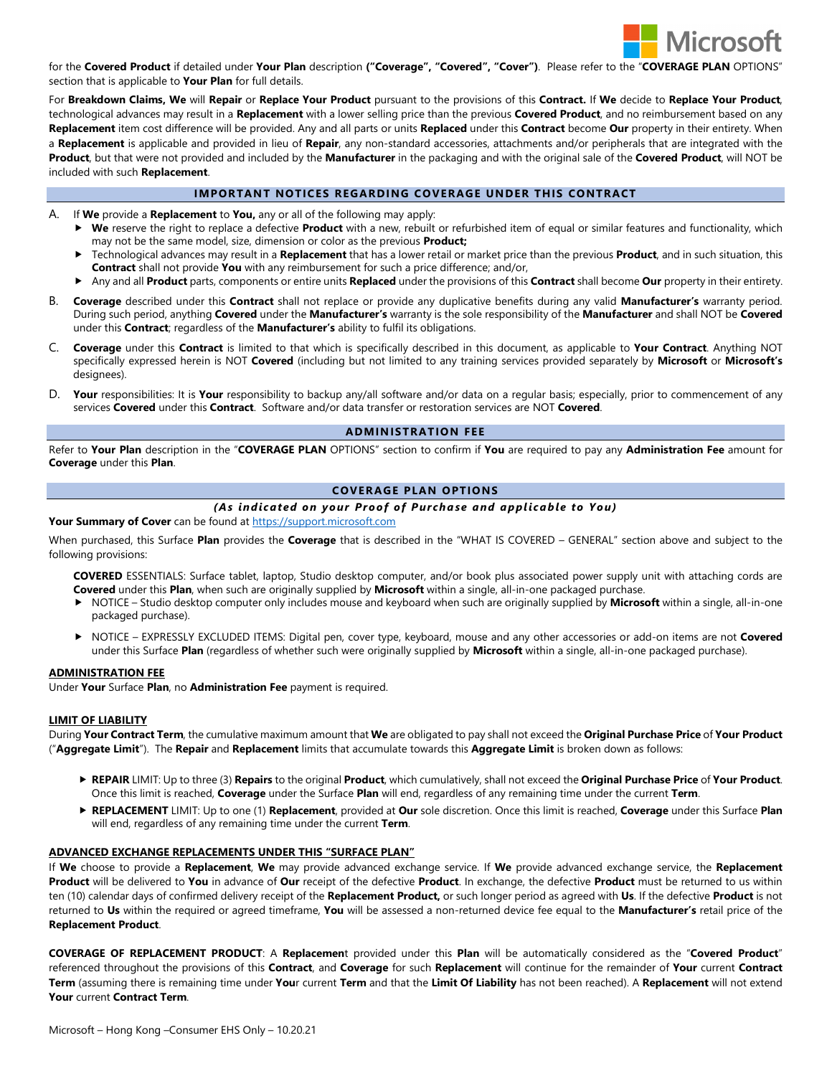

for the **Covered Product** if detailed under **Your Plan** description **("Coverage", "Covered", "Cover")**. Please refer to the "**COVERAGE PLAN** OPTIONS" section that is applicable to **Your Plan** for full details.

For **Breakdown Claims, We** will **Repair** or **Replace Your Product** pursuant to the provisions of this **Contract.** If **We** decide to **Replace Your Product**, technological advances may result in a **Replacement** with a lower selling price than the previous **Covered Product**, and no reimbursement based on any **Replacement** item cost difference will be provided. Any and all parts or units **Replaced** under this **Contract** become **Our** property in their entirety. When a **Replacement** is applicable and provided in lieu of **Repair**, any non-standard accessories, attachments and/or peripherals that are integrated with the **Product**, but that were not provided and included by the **Manufacturer** in the packaging and with the original sale of the **Covered Product**, will NOT be included with such **Replacement**.

## **IMPORTANT NOTICES REGARDING COVERAGE UNDER THIS CONTRACT**

- A. If **We** provide a **Replacement** to **You,** any or all of the following may apply:
	- **We** reserve the right to replace a defective **Product** with a new, rebuilt or refurbished item of equal or similar features and functionality, which may not be the same model, size, dimension or color as the previous **Product;**
	- Technological advances may result in a **Replacement** that has a lower retail or market price than the previous **Product**, and in such situation, this **Contract** shall not provide **You** with any reimbursement for such a price difference; and/or,
	- Any and all **Product** parts, components or entire units **Replaced** under the provisions of this **Contract** shall become **Our** property in their entirety.
- B. **Coverage** described under this **Contract** shall not replace or provide any duplicative benefits during any valid **Manufacturer's** warranty period. During such period, anything **Covered** under the **Manufacturer's** warranty is the sole responsibility of the **Manufacturer** and shall NOT be **Covered** under this **Contract**; regardless of the **Manufacturer's** ability to fulfil its obligations.
- C. **Coverage** under this **Contract** is limited to that which is specifically described in this document, as applicable to **Your Contract**. Anything NOT specifically expressed herein is NOT **Covered** (including but not limited to any training services provided separately by **Microsoft** or **Microsoft's**  designees).
- D. **Your** responsibilities: It is **Your** responsibility to backup any/all software and/or data on a regular basis; especially, prior to commencement of any services **Covered** under this **Contract**. Software and/or data transfer or restoration services are NOT **Covered**.

### **ADMINISTRATION FEE**

Refer to **Your Plan** description in the "**COVERAGE PLAN** OPTIONS" section to confirm if **You** are required to pay any **Administration Fee** amount for **Coverage** under this **Plan**.

### **COVERAGE PLAN OPTIONS**

## *(As indicated on your Proof of Purchase and applicable to You)*

#### **Your Summary of Cover** can be found a[t https://support.microsoft.com](https://support.microsoft.com/)

When purchased, this Surface **Plan** provides the **Coverage** that is described in the "WHAT IS COVERED – GENERAL" section above and subject to the following provisions:

- **COVERED** ESSENTIALS: Surface tablet, laptop, Studio desktop computer, and/or book plus associated power supply unit with attaching cords are **Covered** under this **Plan**, when such are originally supplied by **Microsoft** within a single, all-in-one packaged purchase.
- NOTICE Studio desktop computer only includes mouse and keyboard when such are originally supplied by **Microsoft** within a single, all-in-one packaged purchase).
- NOTICE *–* EXPRESSLY EXCLUDED ITEMS: Digital pen, cover type, keyboard, mouse and any other accessories or add-on items are not **Covered** under this Surface **Plan** (regardless of whether such were originally supplied by **Microsoft** within a single, all-in-one packaged purchase).

#### **ADMINISTRATION FEE**

Under **Your** Surface **Plan**, no **Administration Fee** payment is required.

#### **LIMIT OF LIABILITY**

During **Your Contract Term**, the cumulative maximum amount that **We** are obligated to pay shall not exceed the **Original Purchase Price** of **Your Product**  ("**Aggregate Limit**"). The **Repair** and **Replacement** limits that accumulate towards this **Aggregate Limit** is broken down as follows:

- **REPAIR** LIMIT: Up to three (3) **Repairs** to the original **Product**, which cumulatively, shall not exceed the **Original Purchase Price** of **Your Product**. Once this limit is reached, **Coverage** under the Surface **Plan** will end, regardless of any remaining time under the current **Term**.
- **REPLACEMENT** LIMIT: Up to one (1) **Replacement**, provided at **Our** sole discretion. Once this limit is reached, **Coverage** under this Surface **Plan** will end, regardless of any remaining time under the current **Term**.

#### **ADVANCED EXCHANGE REPLACEMENTS UNDER THIS "SURFACE PLAN"**

If **We** choose to provide a **Replacement**, **We** may provide advanced exchange service. If **We** provide advanced exchange service, the **Replacement Product** will be delivered to **You** in advance of **Our** receipt of the defective **Product**. In exchange, the defective **Product** must be returned to us within ten (10) calendar days of confirmed delivery receipt of the **Replacement Product,** or such longer period as agreed with **Us**. If the defective **Product** is not returned to **Us** within the required or agreed timeframe, **You** will be assessed a non-returned device fee equal to the **Manufacturer's** retail price of the **Replacement Product**.

**COVERAGE OF REPLACEMENT PRODUCT**: A **Replacemen**t provided under this **Plan** will be automatically considered as the "**Covered Product**" referenced throughout the provisions of this **Contract**, and **Coverage** for such **Replacement** will continue for the remainder of **Your** current **Contract Term** (assuming there is remaining time under **You**r current **Term** and that the **Limit Of Liability** has not been reached). A **Replacement** will not extend **Your** current **Contract Term**.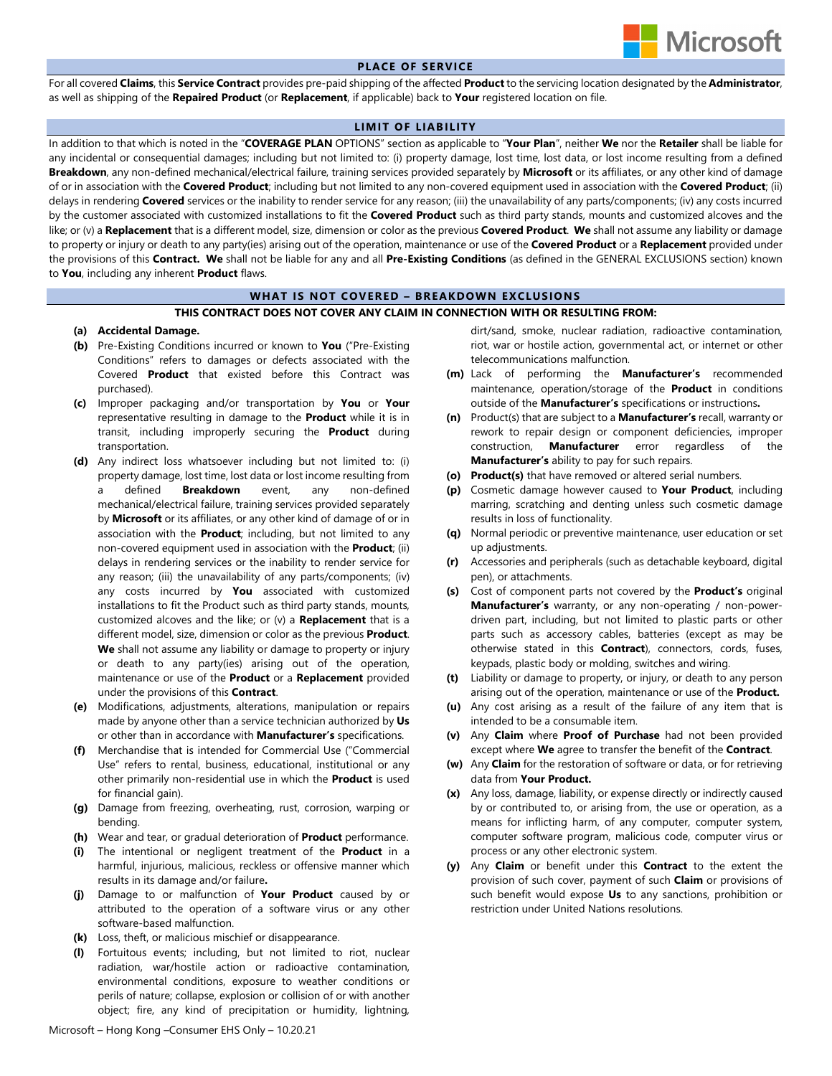

## **PLACE OF SERVICE**

For all covered **Claims**, this **Service Contract** provides pre-paid shipping of the affected **Product**to the servicing location designated by the **Administrator**, as well as shipping of the **Repaired Product** (or **Replacement**, if applicable) back to **Your** registered location on file.

### **LIMIT OF LIABILITY**

In addition to that which is noted in the "**COVERAGE PLAN** OPTIONS" section as applicable to "**Your Plan**", neither **We** nor the **Retailer** shall be liable for any incidental or consequential damages; including but not limited to: (i) property damage, lost time, lost data, or lost income resulting from a defined **Breakdown**, any non-defined mechanical/electrical failure, training services provided separately by **Microsoft** or its affiliates, or any other kind of damage of or in association with the **Covered Product**; including but not limited to any non-covered equipment used in association with the **Covered Product**; (ii) delays in rendering **Covered** services or the inability to render service for any reason; (iii) the unavailability of any parts/components; (iv) any costs incurred by the customer associated with customized installations to fit the **Covered Product** such as third party stands, mounts and customized alcoves and the like; or (v) a **Replacement** that is a different model, size, dimension or color as the previous **Covered Product**. **We** shall not assume any liability or damage to property or injury or death to any party(ies) arising out of the operation, maintenance or use of the **Covered Product** or a **Replacement** provided under the provisions of this **Contract. We** shall not be liable for any and all **Pre-Existing Conditions** (as defined in the GENERAL EXCLUSIONS section) known to **You**, including any inherent **Product** flaws.

### **WHAT IS NOT COVERED – BREAKDOWN EXCLUSIONS**

### **THIS CONTRACT DOES NOT COVER ANY CLAIM IN CONNECTION WITH OR RESULTING FROM:**

#### **(a) Accidental Damage.**

- **(b)** Pre-Existing Conditions incurred or known to **You** ("Pre-Existing Conditions" refers to damages or defects associated with the Covered **Product** that existed before this Contract was purchased).
- **(c)** Improper packaging and/or transportation by **You** or **Your** representative resulting in damage to the **Product** while it is in transit, including improperly securing the **Product** during transportation.
- **(d)** Any indirect loss whatsoever including but not limited to: (i) property damage, lost time, lost data or lost income resulting from a defined **Breakdown** event, any non-defined mechanical/electrical failure, training services provided separately by **Microsoft** or its affiliates, or any other kind of damage of or in association with the **Product**; including, but not limited to any non-covered equipment used in association with the **Product**; (ii) delays in rendering services or the inability to render service for any reason; (iii) the unavailability of any parts/components; (iv) any costs incurred by **You** associated with customized installations to fit the Product such as third party stands, mounts, customized alcoves and the like; or (v) a **Replacement** that is a different model, size, dimension or color as the previous **Product**. **We** shall not assume any liability or damage to property or injury or death to any party(ies) arising out of the operation, maintenance or use of the **Product** or a **Replacement** provided under the provisions of this **Contract**.
- **(e)** Modifications, adjustments, alterations, manipulation or repairs made by anyone other than a service technician authorized by **Us** or other than in accordance with **Manufacturer's** specifications.
- **(f)** Merchandise that is intended for Commercial Use ("Commercial Use" refers to rental, business, educational, institutional or any other primarily non-residential use in which the **Product** is used for financial gain).
- **(g)** Damage from freezing, overheating, rust, corrosion, warping or bending.
- **(h)** Wear and tear, or gradual deterioration of **Product** performance.
- **(i)** The intentional or negligent treatment of the **Product** in a harmful, injurious, malicious, reckless or offensive manner which results in its damage and/or failure**.**
- **(j)** Damage to or malfunction of **Your Product** caused by or attributed to the operation of a software virus or any other software-based malfunction.
- **(k)** Loss, theft, or malicious mischief or disappearance.
- **(l)** Fortuitous events; including, but not limited to riot, nuclear radiation, war/hostile action or radioactive contamination, environmental conditions, exposure to weather conditions or perils of nature; collapse, explosion or collision of or with another object; fire, any kind of precipitation or humidity, lightning,

dirt/sand, smoke, nuclear radiation, radioactive contamination, riot, war or hostile action, governmental act, or internet or other telecommunications malfunction.

- **(m)** Lack of performing the **Manufacturer's** recommended maintenance, operation/storage of the **Product** in conditions outside of the **Manufacturer's** specifications or instructions**.**
- **(n)** Product(s) that are subject to a **Manufacturer's** recall, warranty or rework to repair design or component deficiencies, improper construction, **Manufacturer** error regardless of the **Manufacturer's** ability to pay for such repairs.
- **(o) Product(s)** that have removed or altered serial numbers.
- **(p)** Cosmetic damage however caused to **Your Product**, including marring, scratching and denting unless such cosmetic damage results in loss of functionality.
- **(q)** Normal periodic or preventive maintenance, user education or set up adjustments.
- **(r)** Accessories and peripherals (such as detachable keyboard, digital pen), or attachments.
- **(s)** Cost of component parts not covered by the **Product's** original **Manufacturer's** warranty, or any non-operating / non-powerdriven part, including, but not limited to plastic parts or other parts such as accessory cables, batteries (except as may be otherwise stated in this **Contract**), connectors, cords, fuses, keypads, plastic body or molding, switches and wiring.
- **(t)** Liability or damage to property, or injury, or death to any person arising out of the operation, maintenance or use of the **Product.**
- **(u)** Any cost arising as a result of the failure of any item that is intended to be a consumable item.
- **(v)** Any **Claim** where **Proof of Purchase** had not been provided except where **We** agree to transfer the benefit of the **Contract**.
- **(w)** Any **Claim** for the restoration of software or data, or for retrieving data from **Your Product.**
- **(x)** Any loss, damage, liability, or expense directly or indirectly caused by or contributed to, or arising from, the use or operation, as a means for inflicting harm, of any computer, computer system, computer software program, malicious code, computer virus or process or any other electronic system.
- **(y)** Any **Claim** or benefit under this **Contract** to the extent the provision of such cover, payment of such **Claim** or provisions of such benefit would expose **Us** to any sanctions, prohibition or restriction under United Nations resolutions.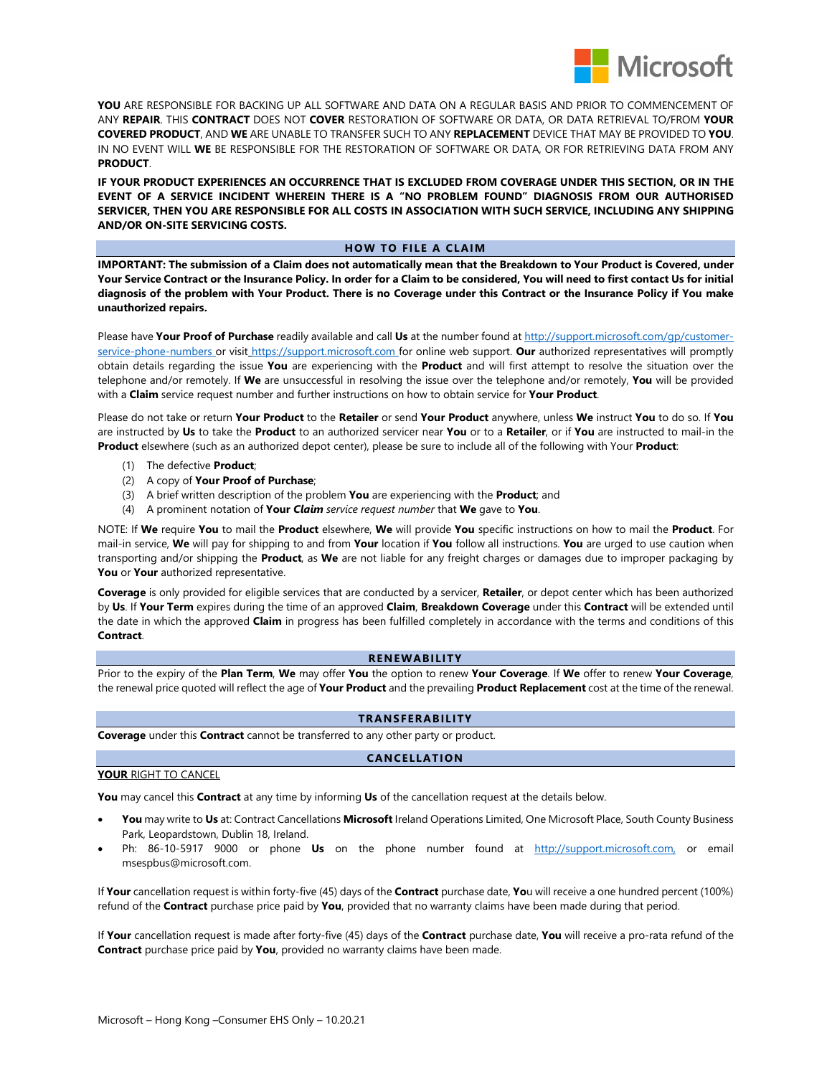

**YOU** ARE RESPONSIBLE FOR BACKING UP ALL SOFTWARE AND DATA ON A REGULAR BASIS AND PRIOR TO COMMENCEMENT OF ANY **REPAIR**. THIS **CONTRACT** DOES NOT **COVER** RESTORATION OF SOFTWARE OR DATA, OR DATA RETRIEVAL TO/FROM **YOUR COVERED PRODUCT**, AND **WE** ARE UNABLE TO TRANSFER SUCH TO ANY **REPLACEMENT** DEVICE THAT MAY BE PROVIDED TO **YOU**. IN NO EVENT WILL **WE** BE RESPONSIBLE FOR THE RESTORATION OF SOFTWARE OR DATA, OR FOR RETRIEVING DATA FROM ANY **PRODUCT**.

**IF YOUR PRODUCT EXPERIENCES AN OCCURRENCE THAT IS EXCLUDED FROM COVERAGE UNDER THIS SECTION, OR IN THE EVENT OF A SERVICE INCIDENT WHEREIN THERE IS A "NO PROBLEM FOUND" DIAGNOSIS FROM OUR AUTHORISED SERVICER, THEN YOU ARE RESPONSIBLE FOR ALL COSTS IN ASSOCIATION WITH SUCH SERVICE, INCLUDING ANY SHIPPING AND/OR ON-SITE SERVICING COSTS.** 

## **HOW TO FILE A CLAIM**

**IMPORTANT: The submission of a Claim does not automatically mean that the Breakdown to Your Product is Covered, under Your Service Contract or the Insurance Policy. In order for a Claim to be considered, You will need to first contact Us for initial diagnosis of the problem with Your Product. There is no Coverage under this Contract or the Insurance Policy if You make unauthorized repairs.**

Please have **Your Proof of Purchase** readily available and call **Us** at the number found a[t http://support.microsoft.com/gp/customer](http://support.microsoft.com/gp/customer-service-phone-numbers)[service-phone-numbers](http://support.microsoft.com/gp/customer-service-phone-numbers) or visit [https://support.microsoft.com](https://support.microsoft.com/) for online web support. **Our** authorized representatives will promptly obtain details regarding the issue **You** are experiencing with the **Product** and will first attempt to resolve the situation over the telephone and/or remotely. If **We** are unsuccessful in resolving the issue over the telephone and/or remotely, **You** will be provided with a **Claim** service request number and further instructions on how to obtain service for **Your Product**.

Please do not take or return **Your Product** to the **Retailer** or send **Your Product** anywhere, unless **We** instruct **You** to do so. If **You** are instructed by **Us** to take the **Product** to an authorized servicer near **You** or to a **Retailer**, or if **You** are instructed to mail-in the **Product** elsewhere (such as an authorized depot center), please be sure to include all of the following with Your **Product**:

- (1) The defective **Product**;
- (2) A copy of **Your Proof of Purchase**;
- (3) A brief written description of the problem **You** are experiencing with the **Product**; and
- (4) A prominent notation of **Your** *Claim service request number* that **We** gave to **You**.

NOTE: If **We** require **You** to mail the **Product** elsewhere, **We** will provide **You** specific instructions on how to mail the **Product**. For mail-in service, **We** will pay for shipping to and from **Your** location if **You** follow all instructions. **You** are urged to use caution when transporting and/or shipping the **Product**, as **We** are not liable for any freight charges or damages due to improper packaging by **You** or **Your** authorized representative.

**Coverage** is only provided for eligible services that are conducted by a servicer, **Retailer**, or depot center which has been authorized by **Us**. If **Your Term** expires during the time of an approved **Claim**, **Breakdown Coverage** under this **Contract** will be extended until the date in which the approved **Claim** in progress has been fulfilled completely in accordance with the terms and conditions of this **Contract**.

## **RENEWABILITY**

Prior to the expiry of the **Plan Term**, **We** may offer **You** the option to renew **Your Coverage**. If **We** offer to renew **Your Coverage**, the renewal price quoted will reflect the age of **Your Product** and the prevailing **Product Replacement** cost at the time of the renewal.

### **TRANSFERABILITY**

**Coverage** under this **Contract** cannot be transferred to any other party or product.

## **CANCELLATION**

## **YOUR** RIGHT TO CANCEL

**You** may cancel this **Contract** at any time by informing **Us** of the cancellation request at the details below.

- **You** may write to **Us** at: Contract Cancellations **Microsoft** Ireland Operations Limited, One Microsoft Place, South County Business Park, Leopardstown, Dublin 18, Ireland.
- Ph: 86-10-5917 9000 or phone **Us** on the phone number found at [http://support.microsoft.com,](http://support.microsoft.com/) or email msespbus@microsoft.com.

If **Your** cancellation request is within forty-five (45) days of the **Contract** purchase date, **Yo**u will receive a one hundred percent (100%) refund of the **Contract** purchase price paid by **You**, provided that no warranty claims have been made during that period.

If **Your** cancellation request is made after forty-five (45) days of the **Contract** purchase date, **You** will receive a pro-rata refund of the **Contract** purchase price paid by **You**, provided no warranty claims have been made.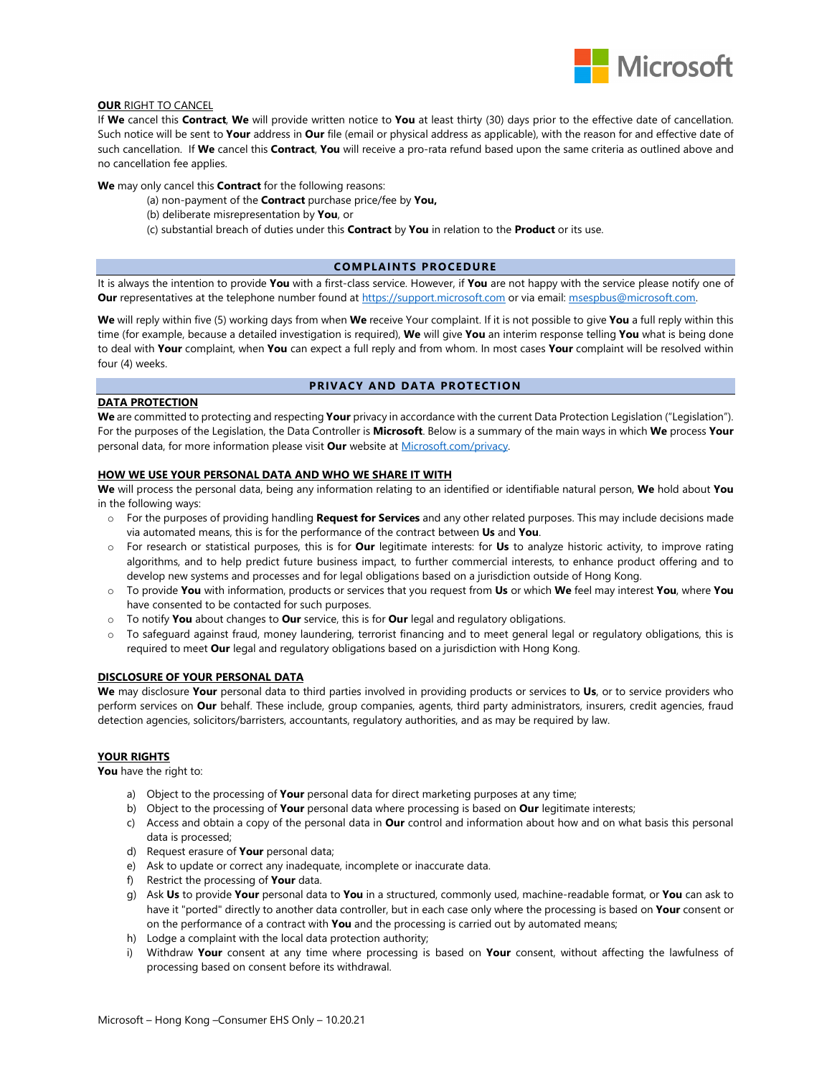

# **OUR** RIGHT TO CANCEL

If **We** cancel this **Contract**, **We** will provide written notice to **You** at least thirty (30) days prior to the effective date of cancellation. Such notice will be sent to **Your** address in **Our** file (email or physical address as applicable), with the reason for and effective date of such cancellation. If **We** cancel this **Contract**, **You** will receive a pro-rata refund based upon the same criteria as outlined above and no cancellation fee applies.

**We** may only cancel this **Contract** for the following reasons:

- (a) non-payment of the **Contract** purchase price/fee by **You,**
- (b) deliberate misrepresentation by **You**, or
- (c) substantial breach of duties under this **Contract** by **You** in relation to the **Product** or its use.

### **COMPLAINTS PROCEDURE**

It is always the intention to provide **You** with a first-class service. However, if **You** are not happy with the service please notify one of **Our** representatives at the telephone number found a[t https://support.microsoft.com](https://support.microsoft.com/) or via email: [msespbus@microsoft.com.](mailto:msespbus@microsoft.com)

**We** will reply within five (5) working days from when **We** receive Your complaint. If it is not possible to give **You** a full reply within this time (for example, because a detailed investigation is required), **We** will give **You** an interim response telling **You** what is being done to deal with **Your** complaint, when **You** can expect a full reply and from whom. In most cases **Your** complaint will be resolved within four (4) weeks.

### **PRIVACY AND DATA PROTECTION**

## **DATA PROTECTION**

**We** are committed to protecting and respecting **Your** privacy in accordance with the current Data Protection Legislation ("Legislation"). For the purposes of the Legislation, the Data Controller is **Microsoft**. Below is a summary of the main ways in which **We** process **Your** personal data, for more information please visit **Our** website a[t Microsoft.com/privacy.](file://amtrustservices.com/afsidata/Offices/London/London%20Legal/International%20Programmes/Microsoft/Terms%20&%20Conditions/Ireland/Microsoft.com/privacy)

### **HOW WE USE YOUR PERSONAL DATA AND WHO WE SHARE IT WITH**

**We** will process the personal data, being any information relating to an identified or identifiable natural person, **We** hold about **You**  in the following ways:

- o For the purposes of providing handling **Request for Services** and any other related purposes. This may include decisions made via automated means, this is for the performance of the contract between **Us** and **You**.
- o For research or statistical purposes, this is for **Our** legitimate interests: for **Us** to analyze historic activity, to improve rating algorithms, and to help predict future business impact, to further commercial interests, to enhance product offering and to develop new systems and processes and for legal obligations based on a jurisdiction outside of Hong Kong.
- o To provide **You** with information, products or services that you request from **Us** or which **We** feel may interest **You**, where **You**  have consented to be contacted for such purposes.
- o To notify **You** about changes to **Our** service, this is for **Our** legal and regulatory obligations.
- o To safeguard against fraud, money laundering, terrorist financing and to meet general legal or regulatory obligations, this is required to meet **Our** legal and regulatory obligations based on a jurisdiction with Hong Kong.

### **DISCLOSURE OF YOUR PERSONAL DATA**

We may disclosure Your personal data to third parties involved in providing products or services to Us, or to service providers who perform services on **Our** behalf. These include, group companies, agents, third party administrators, insurers, credit agencies, fraud detection agencies, solicitors/barristers, accountants, regulatory authorities, and as may be required by law.

### **YOUR RIGHTS**

**You** have the right to:

- a) Object to the processing of **Your** personal data for direct marketing purposes at any time;
- b) Object to the processing of **Your** personal data where processing is based on **Our** legitimate interests;
- c) Access and obtain a copy of the personal data in **Our** control and information about how and on what basis this personal data is processed;
- d) Request erasure of **Your** personal data;
- e) Ask to update or correct any inadequate, incomplete or inaccurate data.
- f) Restrict the processing of **Your** data.
- g) Ask **Us** to provide **Your** personal data to **You** in a structured, commonly used, machine-readable format, or **You** can ask to have it "ported" directly to another data controller, but in each case only where the processing is based on **Your** consent or on the performance of a contract with **You** and the processing is carried out by automated means;
- h) Lodge a complaint with the local data protection authority;
- i) Withdraw **Your** consent at any time where processing is based on **Your** consent, without affecting the lawfulness of processing based on consent before its withdrawal.